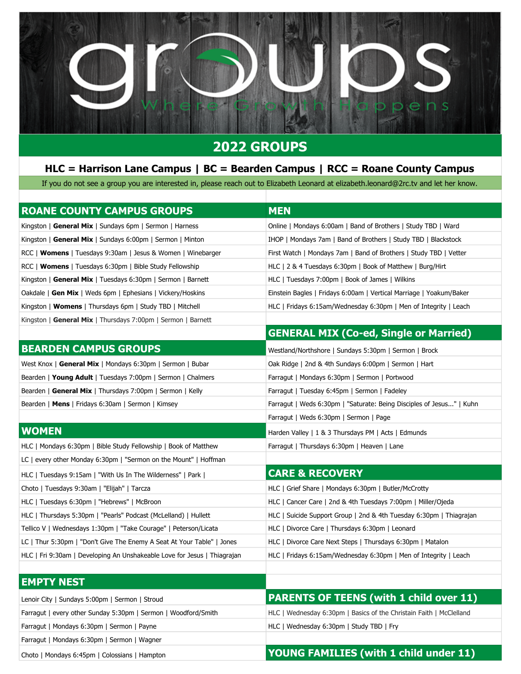

## **2022 GROUPS**

## **HLC = Harrison Lane Campus | BC = Bearden Campus | RCC = Roane County Campus**

If you do not see a group you are interested in, please reach out to Elizabeth Leonard at elizabeth.leonard@2rc.tv and let her know.

| <b>ROANE COUNTY CAMPUS GROUPS</b>                                        | <b>MEN</b>                                                           |
|--------------------------------------------------------------------------|----------------------------------------------------------------------|
| Kingston   General Mix   Sundays 6pm   Sermon   Harness                  | Online   Mondays 6:00am   Band of Brothers   Study TBD   Ward        |
| Kingston   General Mix   Sundays 6:00pm   Sermon   Minton                | IHOP   Mondays 7am   Band of Brothers   Study TBD   Blackstock       |
| RCC   <b>Womens</b>   Tuesdays 9:30am   Jesus & Women   Winebarger       | First Watch   Mondays 7am   Band of Brothers   Study TBD   Vetter    |
| RCC   Womens   Tuesdays 6:30pm   Bible Study Fellowship                  | HLC   2 & 4 Tuesdays 6:30pm   Book of Matthew   Burg/Hirt            |
| Kingston   General Mix   Tuesdays 6:30pm   Sermon   Barnett              | HLC   Tuesdays 7:00pm   Book of James   Wilkins                      |
| Oakdale   Gen Mix   Weds 6pm   Ephesians   Vickery/Hoskins               | Einstein Bagles   Fridays 6:00am   Vertical Marriage   Yoakum/Baker  |
| Kingston   Womens   Thursdays 6pm   Study TBD   Mitchell                 | HLC   Fridays 6:15am/Wednesday 6:30pm   Men of Integrity   Leach     |
| Kingston   General Mix   Thursdays 7:00pm   Sermon   Barnett             |                                                                      |
|                                                                          | <b>GENERAL MIX (Co-ed, Single or Married)</b>                        |
| <b>BEARDEN CAMPUS GROUPS</b>                                             | Westland/Northshore   Sundays 5:30pm   Sermon   Brock                |
| West Knox   General Mix   Mondays 6:30pm   Sermon   Bubar                | Oak Ridge   2nd & 4th Sundays 6:00pm   Sermon   Hart                 |
| Bearden   Young Adult   Tuesdays 7:00pm   Sermon   Chalmers              | Farragut   Mondays 6:30pm   Sermon   Portwood                        |
| Bearden   General Mix   Thursdays 7:00pm   Sermon   Kelly                | Farragut   Tuesday 6:45pm   Sermon   Fadeley                         |
| Bearden   Mens   Fridays 6:30am   Sermon   Kimsey                        | Farragut   Weds 6:30pm   "Saturate: Being Disciples of Jesus"   Kuhn |
|                                                                          | Farragut   Weds 6:30pm   Sermon   Page                               |
| <b>WOMEN</b>                                                             | Harden Valley   1 & 3 Thursdays PM   Acts   Edmunds                  |
| HLC   Mondays 6:30pm   Bible Study Fellowship   Book of Matthew          | Farragut   Thursdays 6:30pm   Heaven   Lane                          |
| LC   every other Monday 6:30pm   "Sermon on the Mount"   Hoffman         |                                                                      |
| HLC   Tuesdays 9:15am   "With Us In The Wilderness"   Park               | <b>CARE &amp; RECOVERY</b>                                           |
| Choto   Tuesdays 9:30am   "Elijah"   Tarcza                              | HLC   Grief Share   Mondays 6:30pm   Butler/McCrotty                 |
| HLC   Tuesdays 6:30pm   "Hebrews"   McBroon                              | HLC   Cancer Care   2nd & 4th Tuesdays 7:00pm   Miller/Ojeda         |
| HLC   Thursdays 5:30pm   "Pearls" Podcast (McLelland)   Hullett          | HLC Suicide Support Group   2nd & 4th Tuesday 6:30pm   Thiagrajan    |
| Tellico V   Wednesdays 1:30pm   "Take Courage"   Peterson/Licata         | HLC   Divorce Care   Thursdays 6:30pm   Leonard                      |
| LC   Thur 5:30pm   "Don't Give The Enemy A Seat At Your Table"   Jones   | HLC   Divorce Care Next Steps   Thursdays 6:30pm   Matalon           |
| HLC   Fri 9:30am   Developing An Unshakeable Love for Jesus   Thiagrajan | HLC   Fridays 6:15am/Wednesday 6:30pm   Men of Integrity   Leach     |
|                                                                          |                                                                      |
| <b>EMPTY NEST</b>                                                        |                                                                      |
| Lenoir City   Sundays 5:00pm   Sermon   Stroud                           | <b>PARENTS OF TEENS (with 1 child over 11)</b>                       |
| Farragut   every other Sunday 5:30pm   Sermon   Woodford/Smith           | HLC   Wednesday 6:30pm   Basics of the Christain Faith   McClelland  |
| Farragut   Mondays 6:30pm   Sermon   Payne                               | HLC   Wednesday 6:30pm   Study TBD   Fry                             |
| Farragut   Mondays 6:30pm   Sermon   Wagner                              |                                                                      |

## Choto | Mondays 6:45pm | Colossians | Hampton **YOUNG FAMILIES (with 1 child under 11)**